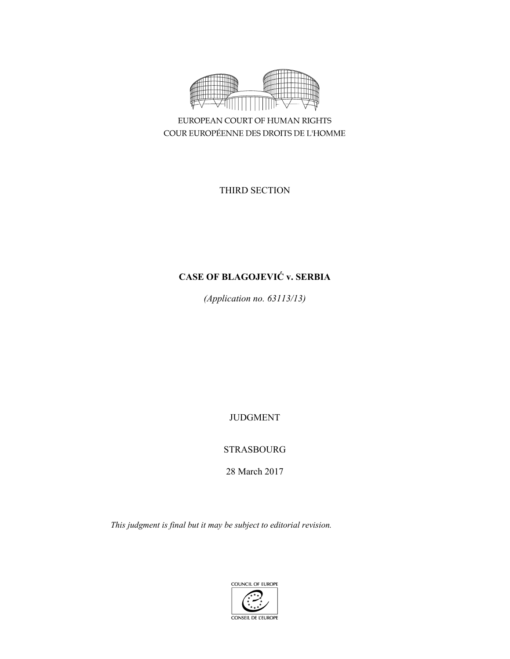

EUROPEAN COURT OF HUMAN RIGHTS COUR EUROPÉENNE DES DROITS DE L'HOMME

THIRD SECTION

# **CASE OF BLAGOJEVIĆ v. SERBIA**

*(Application no. 63113/13)* 

JUDGMENT

STRASBOURG

28 March 2017

*This judgment is final but it may be subject to editorial revision.* 

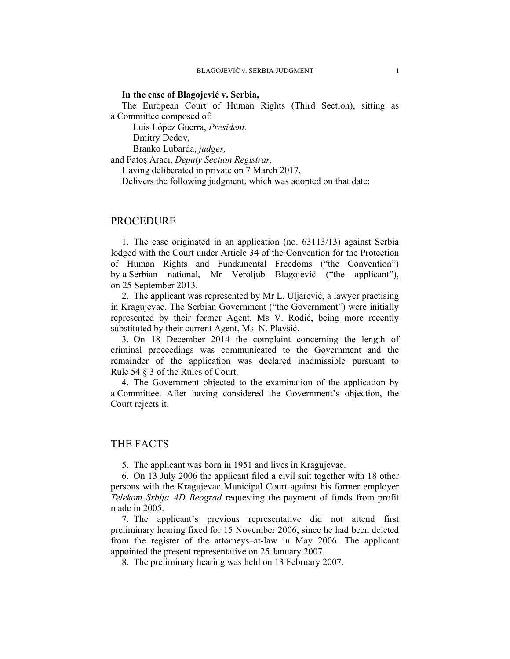### **In the case of Blagojević v. Serbia,**

The European Court of Human Rights (Third Section), sitting as a Committee composed of:

 Luis López Guerra, *President,*  Dmitry Dedov,

Branko Lubarda, *judges,*

and Fatoş Aracı, *Deputy Section Registrar,*

Having deliberated in private on 7 March 2017,

Delivers the following judgment, which was adopted on that date:

## PROCEDURE

1. The case originated in an application (no. 63113/13) against Serbia lodged with the Court under Article 34 of the Convention for the Protection of Human Rights and Fundamental Freedoms ("the Convention") by a Serbian national, Mr Veroljub Blagojević ("the applicant"), on 25 September 2013.

2. The applicant was represented by Mr L. Uljarević, a lawyer practising in Kragujevac. The Serbian Government ("the Government") were initially represented by their former Agent, Ms V. Rodić, being more recently substituted by their current Agent, Ms. N. Plavšić.

3. On 18 December 2014 the complaint concerning the length of criminal proceedings was communicated to the Government and the remainder of the application was declared inadmissible pursuant to Rule 54 § 3 of the Rules of Court.

4. The Government objected to the examination of the application by a Committee. After having considered the Government's objection, the Court rejects it.

## THE FACTS

5. The applicant was born in 1951 and lives in Kragujevac.

6. On 13 July 2006 the applicant filed a civil suit together with 18 other persons with the Kragujevac Municipal Court against his former employer *Telekom Srbija AD Beograd* requesting the payment of funds from profit made in 2005.

7. The applicant's previous representative did not attend first preliminary hearing fixed for 15 November 2006, since he had been deleted from the register of the attorneys–at-law in May 2006. The applicant appointed the present representative on 25 January 2007.

8. The preliminary hearing was held on 13 February 2007.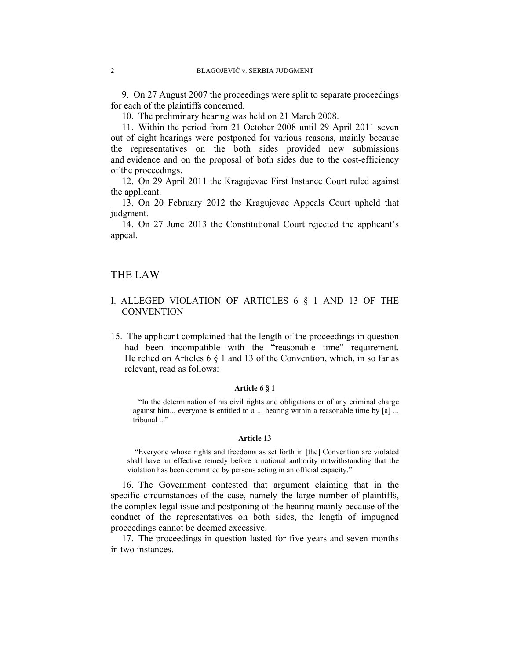9. On 27 August 2007 the proceedings were split to separate proceedings for each of the plaintiffs concerned.

10. The preliminary hearing was held on 21 March 2008.

11. Within the period from 21 October 2008 until 29 April 2011 seven out of eight hearings were postponed for various reasons, mainly because the representatives on the both sides provided new submissions and evidence and on the proposal of both sides due to the cost-efficiency of the proceedings.

12. On 29 April 2011 the Kragujevac First Instance Court ruled against the applicant.

13. On 20 February 2012 the Kragujevac Appeals Court upheld that judgment.

14. On 27 June 2013 the Constitutional Court rejected the applicant's appeal.

## THE LAW

## I. ALLEGED VIOLATION OF ARTICLES 6 § 1 AND 13 OF THE **CONVENTION**

15. The applicant complained that the length of the proceedings in question had been incompatible with the "reasonable time" requirement. He relied on Articles 6 § 1 and 13 of the Convention, which, in so far as relevant, read as follows:

#### **Article 6 § 1**

"In the determination of his civil rights and obligations or of any criminal charge against him... everyone is entitled to a ... hearing within a reasonable time by [a] ... tribunal ..."

#### **Article 13**

 "Everyone whose rights and freedoms as set forth in [the] Convention are violated shall have an effective remedy before a national authority notwithstanding that the violation has been committed by persons acting in an official capacity."

16. The Government contested that argument claiming that in the specific circumstances of the case, namely the large number of plaintiffs, the complex legal issue and postponing of the hearing mainly because of the conduct of the representatives on both sides, the length of impugned proceedings cannot be deemed excessive.

17. The proceedings in question lasted for five years and seven months in two instances.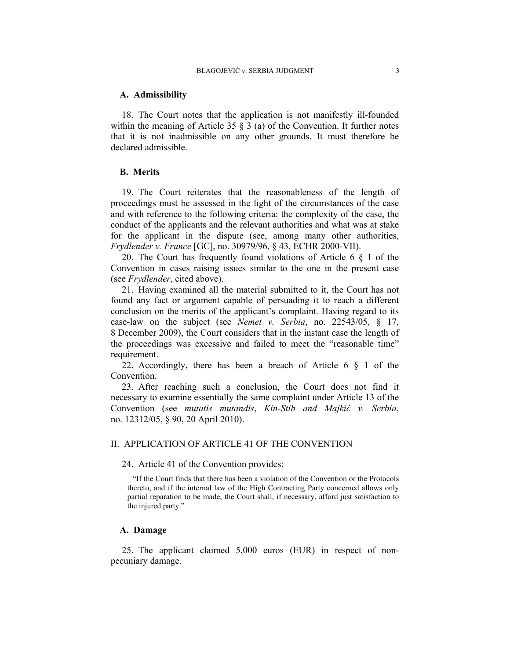#### **A. Admissibility**

18. The Court notes that the application is not manifestly ill-founded within the meaning of Article 35  $\S$  3 (a) of the Convention. It further notes that it is not inadmissible on any other grounds. It must therefore be declared admissible.

## **B. Merits**

19. The Court reiterates that the reasonableness of the length of proceedings must be assessed in the light of the circumstances of the case and with reference to the following criteria: the complexity of the case, the conduct of the applicants and the relevant authorities and what was at stake for the applicant in the dispute (see, among many other authorities, *Frydlender v. France* [GC], no. 30979/96, § 43, ECHR 2000-VII).

20. The Court has frequently found violations of Article 6 § 1 of the Convention in cases raising issues similar to the one in the present case (see *Frydlender*, cited above).

21. Having examined all the material submitted to it, the Court has not found any fact or argument capable of persuading it to reach a different conclusion on the merits of the applicant's complaint. Having regard to its case-law on the subject (see *Nemet v. Serbia*, no. 22543/05, § 17, 8 December 2009), the Court considers that in the instant case the length of the proceedings was excessive and failed to meet the "reasonable time" requirement.

22. Accordingly, there has been a breach of Article  $6 \S 1$  of the Convention.

23. After reaching such a conclusion, the Court does not find it necessary to examine essentially the same complaint under Article 13 of the Convention (see *mutatis mutandis*, *Kin-Stib and Majkić v. Serbia*, no. 12312/05, § 90, 20 April 2010).

## II. APPLICATION OF ARTICLE 41 OF THE CONVENTION

### 24. Article 41 of the Convention provides:

"If the Court finds that there has been a violation of the Convention or the Protocols thereto, and if the internal law of the High Contracting Party concerned allows only partial reparation to be made, the Court shall, if necessary, afford just satisfaction to the injured party."

## **A. Damage**

25. The applicant claimed 5,000 euros (EUR) in respect of nonpecuniary damage.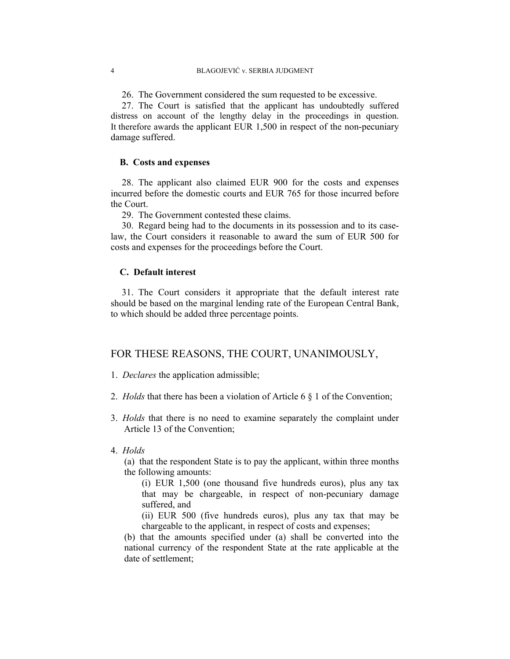26. The Government considered the sum requested to be excessive.

27. The Court is satisfied that the applicant has undoubtedly suffered distress on account of the lengthy delay in the proceedings in question. It therefore awards the applicant EUR 1,500 in respect of the non-pecuniary damage suffered.

## **B. Costs and expenses**

28. The applicant also claimed EUR 900 for the costs and expenses incurred before the domestic courts and EUR 765 for those incurred before the Court.

29. The Government contested these claims.

30. Regard being had to the documents in its possession and to its caselaw, the Court considers it reasonable to award the sum of EUR 500 for costs and expenses for the proceedings before the Court.

## **C. Default interest**

31. The Court considers it appropriate that the default interest rate should be based on the marginal lending rate of the European Central Bank, to which should be added three percentage points.

# FOR THESE REASONS, THE COURT, UNANIMOUSLY,

1. *Declares* the application admissible;

- 2. *Holds* that there has been a violation of Article 6 § 1 of the Convention;
- 3. *Holds* that there is no need to examine separately the complaint under Article 13 of the Convention;
- 4. *Holds*

(a) that the respondent State is to pay the applicant, within three months the following amounts:

(i) EUR 1,500 (one thousand five hundreds euros), plus any tax that may be chargeable, in respect of non-pecuniary damage suffered, and

(ii) EUR 500 (five hundreds euros), plus any tax that may be chargeable to the applicant, in respect of costs and expenses;

(b) that the amounts specified under (a) shall be converted into the national currency of the respondent State at the rate applicable at the date of settlement;